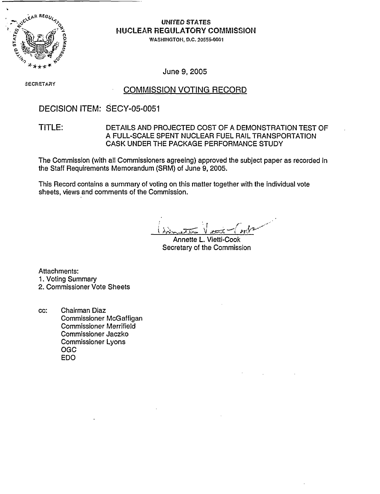

## UNITED STATES **NUCLEAR REGULATORY COMMISSION**

WASHINIGTOII, **D.C.** 20555-0001

June 9, 2005

SECRETARY

### COMMISSION VOTING RECORD

## DECISION ITEM: SECY-05-0051

#### TITLE: DETAILS AND PROJECTED COST OF A DEMONSTRATION TEST OF A FULL-SCALE SPENT NUCLEAR FUEL RAIL TRANSPORTATION CASK UNDER THE PACKAGE PERFORMANCE STUDY

The Commission (with all Commissioners agreeing) approved the subject paper as recorded in the Staff Requirements Memorandum (SRM) of June 9, 2005.

This Record contains a summary of voting on this matter together with the individual vote sheets, views and comments of the Commission.

Annette L. Vietti-Cook Secretary of the Commission

Attachments: 1. Voting Summary 2. Commissioner Vote Sheets

cc: Chairman Diaz Commissioner McGaffigan Commissioner Merrifield Commissioner Jaczko Commissioner Lyons OGC EDO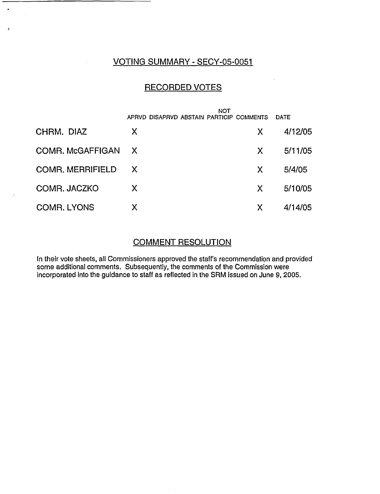## VOTING SUMMARY - SECY-05-0051

 $\ddot{\phantom{0}}$ 

 $\overline{a}$ 

## RECORDED VOTES

|                         | NOT                                      |   |             |
|-------------------------|------------------------------------------|---|-------------|
|                         | APRVD DISAPRVD ABSTAIN PARTICIP COMMENTS |   | <b>DATE</b> |
| CHRM. DIAZ              | X                                        | X | 4/12/05     |
| <b>COMR. McGAFFIGAN</b> | $\mathsf{X}$                             | X | 5/11/05     |
| <b>COMR. MERRIFIELD</b> | X X                                      | X | 5/4/05      |
| COMR. JACZKO            | X                                        | X | 5/10/05     |
| <b>COMR. LYONS</b>      | Χ                                        | X | 4/14/05     |

## COMMENT RESOLUTION

In their vote sheets, all Commissioners approved the staff's recommendation and provided some additional comments. Subsequently, the comments of the Commission were incorporated into the guidance to staff as reflected in the SRM issued on June 9, 2005.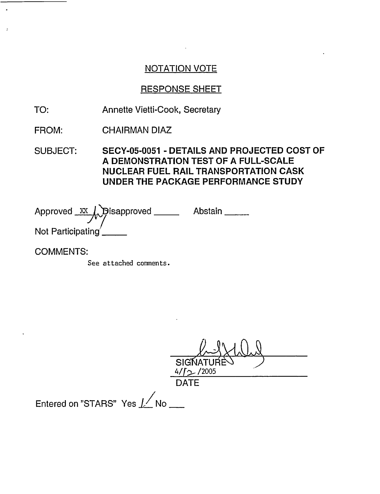## RESPONSE SHEET

TO: Annette Vietti-Cook, Secretary

FROM: CHAIRMAN DIAZ

SUBJECT: SECY-05-0051 - DETAILS AND PROJECTED COST OF A DEMONSTRATION TEST OF A FULL-SCALE NUCLEAR FUEL RAIL TRANSPORTATION CASK UNDER THE PACKAGE PERFORMANCE STUDY

Approved XX A Disapproved \_\_\_\_\_\_ Abstair Not Participating

COMMENTS:

See attached connents.

SIGNATU<br><u>4/f> /2005</u> **DATE** 

Entered on "STARS" Yes  $\nu'$  No  $\mu$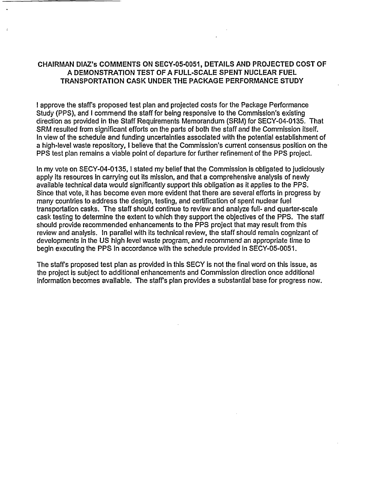#### CHAIRMAN DIAZ's COMMENTS ON SECY-05-0051, DETAILS AND PROJECTED COST OF A DEMONSTRATION TEST OF A FULL-SCALE SPENT NUCLEAR FUEL TRANSPORTATION CASK UNDER THE PACKAGE PERFORMANCE STUDY

I approve the staffs proposed test plan and projected costs for the Package Performance Study (PPS), and I commend the staff for being responsive to the Commission's existing direction as provided in the Staff Requirements Memorandum (SRM) for SECY-04-0135. That SRM resulted from significant efforts on the parts of both the staff and the Commission itself. In view of the schedule and funding uncertainties associated with the potential establishment of a high-level waste repository, I believe that the Commission's current consensus position on the PPS test plan remains a viable point of departure for further refinement of the PPS project.

In my vote on SECY-04-0135, I stated my belief that the Commission is obligated to judiciously apply its resources in carrying out its mission, and that a comprehensive analysis of newly available technical data would significantly support this obligation as it applies to the PPS. Since that vote, it has become even more evident that there are several efforts in progress by many countries to address the design, testing, and certification of spent nuclear fuel transportation casks. The staff should continue to review and analyze full- and quarter-scale cask testing to determine the extent to which they support the objectives of the PPS. The staff should provide recommended enhancements to the PPS project that may result from this review and analysis. In parallel with its technical review, the staff should remain cognizant of developments in the US high level waste program, and recommend an appropriate time to begin executing the PPS in accordance with the schedule provided in SECY-05-0051.

The staff's proposed test plan as provided in this SECY is not the final word on this issue, as the project is subject to additional enhancements and Commission direction once additional information becomes available. The staff's plan provides a substantial base for progress now.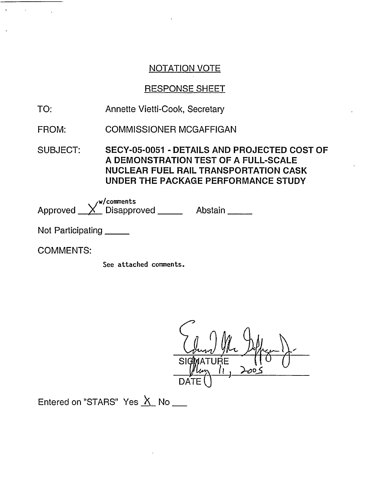# RESPONSE SHEET

- TO: Annette Vietti-Cook, Secretary
- FROM: COMMISSIONER MCGAFFIGAN

SUBJECT: SECY-05-0051 - DETAILS AND PROJECTED COST OF A DEMONSTRATION TEST OF A FULL-SCALE NUCLEAR FUEL RAIL TRANSPORTATION CASK UNDER THE PACKAGE PERFORMANCE STUDY

 $w$ /comments Approved \_\_<u>X</u>\_\_ Disapproved \_\_\_\_\_\_\_\_\_\_ Abstair

Not Participating

COMMENTS:

See attached comments.

 $\mathcal{C}$ 1 Quan 9 April 1- $\mathcal{S}$ 

Entered on "STARS" Yes  $X$  No \_\_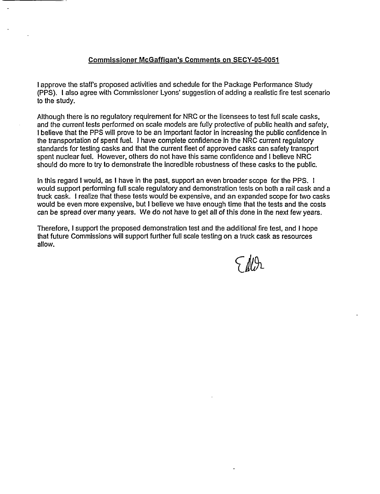#### Commissioner McGaffigan's Comments on SECY-05-0051

I approve the staff's proposed activities and schedule for the Package Performance Study (PPS). I also agree with Commissioner Lyons' suggestion of adding a realistic fire test scenario to the study.

Although there is no regulatory requirement for NRC or the licensees to test full scale casks, and the current tests performed on scale models are fully protective of public health and safety, I believe that the PPS will prove to be an important factor in increasing the public confidence in the transportation of spent fuel. I have complete confidence in the NRC current regulatory standards for testing casks and that the current fleet of approved casks can safety transport spent nuclear fuel. However, others do not have this same confidence and I believe NRC should do more to try to demonstrate the incredible robustness of these casks to the public.

In this regard I would, as I have in the past, support an even broader scope for the PPS. I would support performing full scale regulatory and demonstration tests on both a rail cask and a truck cask. I realize that these tests would be expensive, and an expanded scope for two casks would be even more expensive, but I believe we have enough time that the tests and the costs can be spread over many years. We do not have to get all of this done in the next few years.

Therefore, I support the proposed demonstration test and the additional fire test, and I hope that future Commissions will support further full scale testing on a truck cask as resources allow.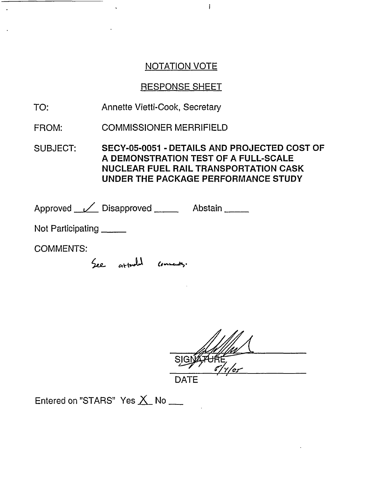i

# RESPONSE SHEET

- Annette Vietti-Cook, Secretary TO:
- COMMISSIONER MERRIFIELD FROM:

SUBJECT: SECY-05-0051 - DETAILS AND PROJECTED COST OF A **DEMONSTRATION TEST OF A FULL-SCALE** NUCLEAR FUEL RAIL TRANSPORTATION CASK UNDER THE PACKAGE PERFORMANCE STUDY

Approved <u>V</u> Disapproved Abstain

Not Participating

- - -

COMMENTS:

See attached connects.

DATE

Entered on "STARS" Yes X No \_\_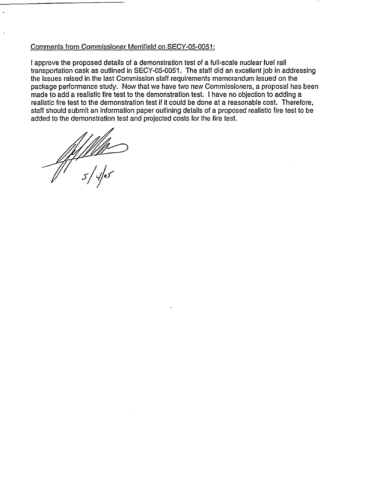#### Comments from Commissioner Merrifield on SECY-05-0051:

I approve the proposed details of a demonstration test of a full-scale nuclear fuel rail transportation cask as outlined in SECY-05-0051. The staff did an excellent job in addressing the issues raised in the last Commission staff requirements memorandum issued on the package performance study. Now that we have two new Commissioners, a proposal has been made to add a realistic fire test to the demonstration test. I have no objection to adding a realistic fire test to the demonstration test if it could be done at a reasonable cost. Therefore, staff should submit an information paper outlining details of a proposed realistic fire test to be added to the demonstration test and projected costs for the fire test.

*//-of*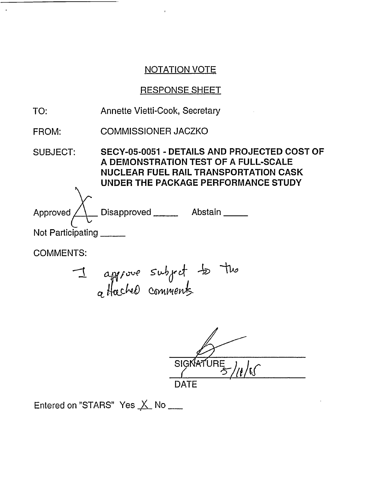ä

# RESPONSE SHEET

| TO:                | Annette Vietti-Cook, Secretary                                                                                                                                              |  |
|--------------------|-----------------------------------------------------------------------------------------------------------------------------------------------------------------------------|--|
| FROM:              | <b>COMMISSIONER JACZKO</b>                                                                                                                                                  |  |
| <b>SUBJECT:</b>    | SECY-05-0051 - DETAILS AND PROJECTED COST OF<br>A DEMONSTRATION TEST OF A FULL-SCALE<br><b>NUCLEAR FUEL RAIL TRANSPORTATION CASK</b><br>UNDER THE PACKAGE PERFORMANCE STUDY |  |
| Approved $\lambda$ | Disapproved _______ Abstain _____                                                                                                                                           |  |
| Not Participating  |                                                                                                                                                                             |  |
| <b>COMMENTS:</b>   |                                                                                                                                                                             |  |
|                    | I approve subject to the                                                                                                                                                    |  |

SIGNATURE /11/15 **DATE** 

Entered on "STARS" Yes  $\underline{\mathsf{X}}$ . No  $\underline{\phantom{X}}$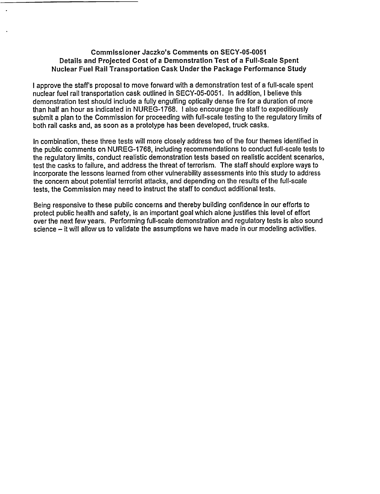#### **Commissioner Jaczko's Comments on SECY-05-0051 Details and Projected Cost of a Demonstration Test of a Full-Scale Spent** Nuclear **Fuel Rail Transportation Cask Under the Package Performance Study**

I approve the staff's proposal to move forward with a demonstration test of a full-scale spent nuclear fuel rail transportation cask outlined in SECY-05-0051. In addition, I believe this demonstration test should include a fully engulfing optically dense fire for a duration of more than half an hour as indicated in NUREG-1768. I also encourage the staff to expeditiously submit a plan to the Commission for proceeding with full-scale testing to the regulatory limits of both rail casks and, as soon as a prototype has been developed, truck casks.

In combination, these three tests will more closely address two of the four themes identified in the public comments on NUREG-1768, including recommendations to conduct full-scale tests to the regulatory limits, conduct realistic demonstration tests based on realistic accident scenarios, test the casks to failure, and address the threat of terrorism. The staff should explore ways to incorporate the lessons learned from other vulnerability assessments into this study to address the concern about potential terrorist attacks, and depending on the results of the full-scale tests, the Commission may need to instruct the staff to conduct additional tests.

Being responsive to these public concerns and thereby building confidence in our efforts to protect public health and safety, is an important goal which alone justifies this level of effort over the next few years. Performing full-scale demonstration and regulatory tests is also sound science  $-$  it will allow us to validate the assumptions we have made in our modeling activities.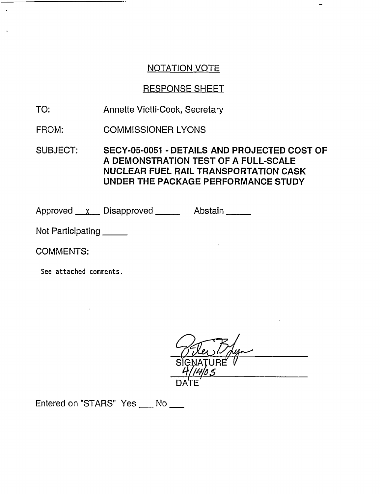# RESPONSE SHEET

TO: Annette Vietti-Cook, Secretary

FROM: COMMISSIONER LYONS

SUBJECT: SECY-05-0051 - DETAILS AND PROJECTED COST OF A **DEMONSTRATION TEST OF A FULL-SCALE** NUCLEAR FUEL RAIL TRANSPORTATION CASK UNDER THE PACKAGE PERFORMANCE STUDY

Approved x Disapproved Abstain

Not Participating

COMMENTS:

See attached comments.

IGNATURE<sup>"</sup> V DATE

Entered on "STARS" Yes \_\_ No \_\_